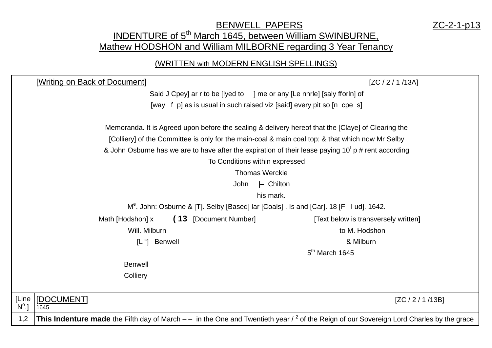## **BENWELL PAPERS** 2C-2-1-p13 INDENTURE of 5<sup>th</sup> March 1645, between William SWINBURNE, Mathew HODSHON and William MILBORNE regarding 3 Year Tenancy

## (WRITTEN with MODERN ENGLISH SPELLINGS)

| [Writing on Back of Document]<br>[ZC / 2 / 1 / 13A]                                                                                                         |  |  |  |  |  |
|-------------------------------------------------------------------------------------------------------------------------------------------------------------|--|--|--|--|--|
| Said J Cpey] ar r to be [lyed to ] me or any [Le nnrle] [saly fforln] of                                                                                    |  |  |  |  |  |
| [way f p] as is usual in such raised viz [said] every pit so [n cpe s]                                                                                      |  |  |  |  |  |
| Memoranda. It is Agreed upon before the sealing & delivery hereof that the [Claye] of Clearing the                                                          |  |  |  |  |  |
| [Colliery] of the Committee is only for the main-coal & main coal top; & that which now Mr Selby                                                            |  |  |  |  |  |
| & John Osburne has we are to have after the expiration of their lease paying $10^1$ p # rent according                                                      |  |  |  |  |  |
| To Conditions within expressed                                                                                                                              |  |  |  |  |  |
| <b>Thomas Werckie</b>                                                                                                                                       |  |  |  |  |  |
| - Chilton<br>John                                                                                                                                           |  |  |  |  |  |
| his mark.                                                                                                                                                   |  |  |  |  |  |
| M <sup>e</sup> . John: Osburne & [T]. Selby [Based] lar [Coals] . Is and [Car]. 18 [F   ud]. 1642.                                                          |  |  |  |  |  |
| (13 [Document Number]<br>Math [Hodshon] x<br>[Text below is transversely written]                                                                           |  |  |  |  |  |
| Will. Milburn<br>to M. Hodshon                                                                                                                              |  |  |  |  |  |
| & Milburn<br><b>Benwell</b><br>$[L$ "                                                                                                                       |  |  |  |  |  |
| $5th$ March 1645                                                                                                                                            |  |  |  |  |  |
| <b>Benwell</b>                                                                                                                                              |  |  |  |  |  |
| Colliery                                                                                                                                                    |  |  |  |  |  |
|                                                                                                                                                             |  |  |  |  |  |
| [Line<br>[DOCUMENT]<br>[ZC / 2 / 1 / 13B]<br>$N^{\circ}$ .]<br>1645.                                                                                        |  |  |  |  |  |
| <b>This Indenture made</b> the Fifth day of March $-$ in the One and Twentieth year $\ell^2$ of the Reign of our Sovereign Lord Charles by the grace<br>1,2 |  |  |  |  |  |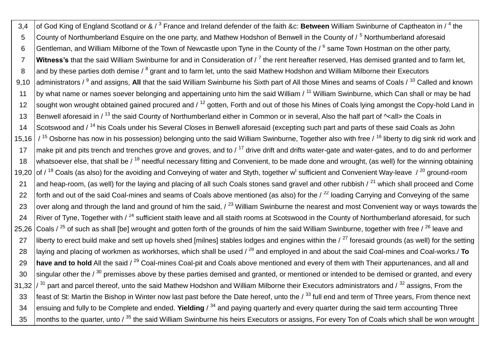3,4 of God King of England Scotland or & / <sup>3</sup> France and Ireland defender of the faith &c: **Between** William Swinburne of Captheaton in / <sup>4</sup> the 5 County of Northumberland Esquire on the one party, and Mathew Hodshon of Benwell in the County of / <sup>5</sup> Northumberland aforesaid 6 Sentleman, and William Milborne of the Town of Newcastle upon Tyne in the County of the / <sup>6</sup> same Town Hostman on the other party, 7 **Witness's** that the said William Swinburne for and in Consideration of / <sup>7</sup> the rent hereafter reserved, Has demised granted and to farm let, 8 and by these parties doth demise / <sup>8</sup> grant and to farm let, unto the said Mathew Hodshon and William Milborne their Executors 9,10 |administrators / <sup>9</sup> and assigns, **All** that the said William Swinburne his Sixth part of All those Mines and seams of Coals / <sup>10</sup> Called and known 11 by what name or names soever belonging and appertaining unto him the said William / <sup>11</sup> William Swinburne, which Can shall or may be had 12 sought won wrought obtained gained procured and  $/12$  gotten, Forth and out of those his Mines of Coals lying amongst the Copy-hold Land in 13 Benwell aforesaid in / <sup>13</sup> the said County of Northumberland either in Common or in several, Also the half part of <sup>^</sup><all> the Coals in 14 Scotswood and / <sup>14</sup> his Coals under his Several Closes in Benwell aforesaid (excepting such part and parts of these said Coals as John 15,16  $/$ <sup>15</sup> Osborne has now in his possession) belonging unto the said William Swinburne, Together also with free  $/$ <sup>16</sup> liberty to dig sink rid work and 17  $\parallel$  make pit and pits trench and trenches grove and groves, and to / <sup>17</sup> drive drift and drifts water-gate and water-gates, and to do and performer 18 whatsoever else, that shall be  $\ell^{18}$  needful necessary fitting and Convenient, to be made done and wrought, (as well) for the winning obtaining 19,20 of / <sup>19</sup> Coals (as also) for the avoiding and Conveying of water and Styth, together w<sup>t</sup> sufficient and Convenient Way-leave / <sup>20</sup> ground-room 21 and heap-room, (as well) for the laying and placing of all such Coals stones sand gravel and other rubbish  $\ell^{21}$  which shall proceed and Come 22 forth and out of the said Coal-mines and seams of Coals above mentioned (as also) for the  $\ell^{22}$  loading Carrying and Conveying of the same 23 over along and through the land and ground of him the said,  $\sqrt{23}$  William Swinburne the nearest and most Convenient way or ways towards the 24 River of Tyne, Together with  $\ell^{24}$  sufficient staith leave and all staith rooms at Scotswood in the County of Northumberland aforesaid, for such 25,26 Coals /  $^{25}$  of such as shall [be] wrought and gotten forth of the grounds of him the said William Swinburne, together with free /  $^{26}$  leave and 27 | liberty to erect build make and sett up hovels shed [milnes] stables lodges and engines within the  $/27$  foresaid grounds (as well) for the setting 28 laying and placing of workmen as workhorses, which shall be used / <sup>28</sup> and employed in and about the said Coal-mines and Coal-works./ **To** 29 **have and to hold** All the said / <sup>29</sup> Coal-mines Coal-pit and Coals above mentioned and every of them with Their appurtenances, and all and  $30$  singular other the /  $30$  premisses above by these parties demised and granted, or mentioned or intended to be demised or granted, and every 31,32  $\frac{31}{32}$  part and parcel thereof, unto the said Mathew Hodshon and William Milborne their Executors administrators and  $\frac{32}{3}$  assigns, From the 33  $\frac{1}{2}$  feast of St: Martin the Bishop in Winter now last past before the Date hereof, unto the  $\frac{1}{3}$  full end and term of Three vears. From thence next 34 ensuing and fully to be Complete and ended. **Yielding** / <sup>34</sup> and paying quarterly and every quarter during the said term accounting Three 35 months to the quarter, unto / <sup>35</sup> the said William Swinburne his heirs Executors or assigns, For every Ton of Coals which shall be won wrought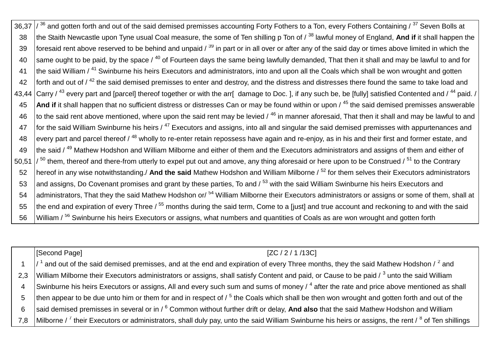36,37  $\frac{1}{36}$  and gotten forth and out of the said demised premisses accounting Forty Fothers to a Ton, every Fothers Containing  $\frac{37}{3}$  Seven Bolls at 38 the Staith Newcastle upon Tyne usual Coal measure, the some of Ten shilling p Ton of / <sup>38</sup> lawful money of England, And if it shall happen the 39 foresaid rent above reserved to be behind and unpaid  $\lambda^{39}$  in part or in all over or after any of the said day or times above limited in which the 40 same ought to be paid, by the space  $\ell^{40}$  of Fourteen days the same being lawfully demanded. That then it shall and may be lawful to and for 41 Ithe said William / <sup>41</sup> Swinburne his heirs Executors and administrators, into and upon all the Coals which shall be won wrought and gotten 42 forth and out of  $/42$  the said demised premisses to enter and destroy, and the distress and distresses there found the same to take load and 43.44 Carry / <sup>43</sup> every part and [parcel] thereof together or with the arr[ damage to Doc. ], if any such be, be [fully] satisfied Contented and / <sup>44</sup> paid. / 45 **And if** it shall happen that no sufficient distress or distresses Can or may be found within or upon / <sup>45</sup> the said demised premisses answerable 46  $\,$  to the said rent above mentioned, where upon the said rent may be levied /  $^{46}$  in manner aforesaid. That then it shall and may be lawful to and 47  $\,$  for the said William Swinburne his heirs /  $^{47}$  Executors and assigns, into all and singular the said demised premisses with appurtenances and 48 every part and parcel thereof  $/$ <sup>48</sup> wholly to re-enter retain repossess have again and re-enjoy, as in his and their first and former estate, and 49 the said / <sup>49</sup> Mathew Hodshon and William Milborne and either of them and the Executors administrators and assigns of them and either of 50.51  $\frac{1}{50}$  them, thereof and there-from utterly to expel put out and amove, any thing aforesaid or here upon to be Construed  $\frac{1}{51}$  to the Contrary 52 hereof in any wise notwithstanding./ **And the said** Mathew Hodshon and William Milborne / <sup>52</sup> for them selves their Executors administrators 53 and assigns, Do Covenant promises and grant by these parties, To and / 53 with the said William Swinburne his heirs Executors and 54 administrators, That they the said Mathew Hodshon or/ <sup>54</sup> William Milborne their Executors administrators or assigns or some of them, shall at  $55$  the end and expiration of every Three /  $55$  months during the said term, Come to a [just] and true account and reckoning to and with the said 56 William / <sup>56</sup> Swinburne his heirs Executors or assigns, what numbers and quantities of Coals as are won wrought and gotten forth

[Second Page] [ZC / 2 / 1 /13C]

1  $\frac{1}{4}$  and out of the said demised premisses, and at the end and expiration of every Three months, they the said Mathew Hodshon / <sup>2</sup> and 2,3 YWilliam Milborne their Executors administrators or assigns, shall satisfy Content and paid, or Cause to be paid / <sup>3</sup> unto the said William 4 Swinburne his heirs Executors or assigns, All and every such sum and sums of money /  $^4$  after the rate and price above mentioned as shall 5  $\,$  then appear to be due unto him or them for and in respect of /  $^5$  the Coals which shall be then won wrought and gotten forth and out of the 6 said demised premisses in several or in / <sup>6</sup> Common without further drift or delay, **And also** that the said Mathew Hodshon and William 7,8 |Milborne / <sup>7</sup> their Executors or administrators, shall duly pay, unto the said William Swinburne his heirs or assigns, the rent / <sup>8</sup> of Ten shillings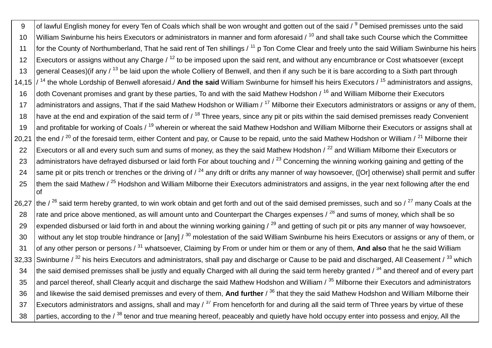9 | of lawful English money for every Ten of Coals which shall be won wrought and gotten out of the said / <sup>9</sup> Demised premisses unto the said 10 William Swinburne his heirs Executors or administrators in manner and form aforesaid  $\ell^{10}$  and shall take such Course which the Committee 11 for the County of Northumberland, That he said rent of Ten shillings  $/11$  p Ton Come Clear and freely unto the said William Swinburne his heirs 12 Executors or assigns without any Charge  $\ell^{12}$  to be imposed upon the said rent, and without any encumbrance or Cost whatsoever (except 13 general Ceases) (if any  $\ell^{13}$  be laid upon the whole Colliery of Benwell, and then if any such be it is bare according to a Sixth part through 14,15 / <sup>14</sup> the whole Lordship of Benwell aforesaid./ **And the said** William Swinburne for himself his heirs Executors / <sup>15</sup> administrators and assigns, 16 doth Covenant promises and grant by these parties. To and with the said Mathew Hodshon / <sup>16</sup> and William Milborne their Executors 17 administrators and assigns, That if the said Mathew Hodshon or William / <sup>17</sup> Milborne their Executors administrators or assigns or any of them, 18 have at the end and expiration of the said term of  $/18$  Three years, since any pit or pits within the said demised premisses ready Convenient 19 and profitable for working of Coals / <sup>19</sup> wherein or whereat the said Mathew Hodshon and William Milborne their Executors or assigns shall at 20,21 the end  $\ell^{20}$  of the foresaid term, either Content and pay, or Cause to be repaid, unto the said Mathew Hodshon or William  $\ell^{21}$  Milborne their 22 Executors or all and every such sum and sums of money, as they the said Mathew Hodshon / <sup>22</sup> and William Milborne their Executors or 23 administrators have defrayed disbursed or laid forth For about touching and  $\ell^{23}$  Concerning the winning working gaining and getting of the 24 same pit or pits trench or trenches or the driving of  $\ell^{24}$  any drift or drifts any manner of way howsoever, ([Or] otherwise) shall permit and suffer 25  $\,$  them the said Mathew / <sup>25</sup> Hodshon and William Milborne their Executors administrators and assigns, in the year next following after the end of 26.27 the / <sup>26</sup> said term hereby granted, to win work obtain and get forth and out of the said demised premisses, such and so /  $^{27}$  many Coals at the 28  $\,$  rate and price above mentioned, as will amount unto and Counterpart the Charges expenses /  $^{28}$  and sums of money, which shall be so 29 expended disbursed or laid forth in and about the winning working gaining  $/29$  and getting of such pit or pits any manner of way howsoever,

30 without any let stop trouble hindrance or [any]  $/30$  molestation of the said William Swinburne his heirs Executors or assigns or any of them, or 31 of any other person or persons / <sup>31</sup> whatsoever, Claiming by From or under him or them or any of them, **And also** that he the said William 32.33 Swinburne /  $^{32}$  his heirs Executors and administrators, shall pay and discharge or Cause to be paid and discharged, All Ceasement /  $^{33}$  which 34 the said demised premisses shall be justly and equally Charged with all during the said term hereby granted  $\frac{1}{34}$  and thereof and of every part 35 and parcel thereof, shall Clearly acquit and discharge the said Mathew Hodshon and William  $\frac{35}{3}$  Milborne their Executors and administrators 36 and likewise the said demised premisses and every of them, And further / <sup>36</sup> that they the said Mathew Hodshon and William Milborne their  $37$  Executors administrators and assigns, shall and may /  $37$  From henceforth for and during all the said term of Three years by virtue of these 38 parties, according to the  $\ell^{38}$  tenor and true meaning hereof, peaceably and quietly have hold occupy enter into possess and enjoy, All the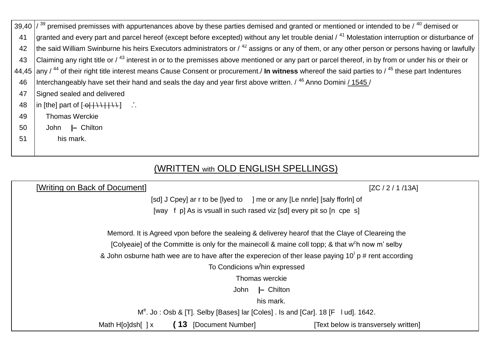|    | 39,40 $\frac{1}{39}$ premised premisses with appurtenances above by these parties demised and granted or mentioned or intended to be $\frac{40}{3}$ demised or                                                                                                                                                                                                                                            |
|----|-----------------------------------------------------------------------------------------------------------------------------------------------------------------------------------------------------------------------------------------------------------------------------------------------------------------------------------------------------------------------------------------------------------|
| 41 | granted and every part and parcel hereof (except before excepted) without any let trouble denial / <sup>41</sup> Molestation interruption or disturbance of                                                                                                                                                                                                                                               |
| 42 | the said William Swinburne his heirs Executors administrators or $/$ <sup>42</sup> assigns or any of them, or any other person or persons having or lawfully                                                                                                                                                                                                                                              |
| 43 | Claiming any right title or / <sup>43</sup> interest in or to the premisses above mentioned or any part or parcel thereof, in by from or under his or their or                                                                                                                                                                                                                                            |
|    | 44,45 any $/$ <sup>44</sup> of their right title interest means Cause Consent or procurement./ In witness whereof the said parties to $/$ <sup>45</sup> these part Indentures                                                                                                                                                                                                                             |
| 46 | Interchangeably have set their hand and seals the day and year first above written. / <sup>46</sup> Anno Domini / 1545 /                                                                                                                                                                                                                                                                                  |
| 47 | Signed sealed and delivered                                                                                                                                                                                                                                                                                                                                                                               |
| 48 | $\ln$ [the] part of $\left[\frac{1}{\sqrt{1+\frac{1}{1+\frac{1}{1+\frac{1}{1+\frac{1}{1+\frac{1}{1+\frac{1}{1+\frac{1}{1+\frac{1}{1+\frac{1}{1+\frac{1}{1+\frac{1}{1+\frac{1}{1+\frac{1}{1+\frac{1}{1+\frac{1}{1+\frac{1}{1+\frac{1}{1+\frac{1}{1+\frac{1}{1+\frac{1}{1+\frac{1}{1+\frac{1}{1+\frac{1}{1+\frac{1}{1+\frac{1}{1+\frac{1}{1+\frac{1}{1+\frac{1}{1+\frac{1}{1+\frac{1}{1+\frac{1}{1+\frac{1$ |
| 49 | <b>Thomas Werckie</b>                                                                                                                                                                                                                                                                                                                                                                                     |
| 50 | John I- Chilton                                                                                                                                                                                                                                                                                                                                                                                           |
| 51 | his mark.                                                                                                                                                                                                                                                                                                                                                                                                 |
|    |                                                                                                                                                                                                                                                                                                                                                                                                           |

## (WRITTEN with OLD ENGLISH SPELLINGS)

| [Writing on Back of Document]                                                                                |                          | [ZC / 2 / 1 / 13A]                                                       |  |  |
|--------------------------------------------------------------------------------------------------------------|--------------------------|--------------------------------------------------------------------------|--|--|
|                                                                                                              |                          | [sd] J Cpey] ar r to be [lyed to ] me or any [Le nnrle] [saly fforln] of |  |  |
| [way f p] As is vsuall in such rased viz [sd] every pit so [n cpe s]                                         |                          |                                                                          |  |  |
| Memord. It is Agreed vpon before the sealeing & deliverey hearof that the Claye of Cleareing the             |                          |                                                                          |  |  |
| [Colyeaie] of the Committe is only for the mainecoll & maine coll topp; & that w <sup>c</sup> h now m' selby |                          |                                                                          |  |  |
| & John osburne hath wee are to have after the experecion of ther lease paying $101$ p # rent according       |                          |                                                                          |  |  |
| To Condicions w <sup>t</sup> hin expressed                                                                   |                          |                                                                          |  |  |
| Thomas werckie                                                                                               |                          |                                                                          |  |  |
| $\vdash$ Chilton<br>John                                                                                     |                          |                                                                          |  |  |
| his mark.                                                                                                    |                          |                                                                          |  |  |
| $Me$ . Jo: Osb & [T]. Selby [Bases] lar [Coles]. Is and [Car]. 18 [F   ud]. 1642.                            |                          |                                                                          |  |  |
| Math H[o]dsh[ $\vert x \vert$                                                                                | (13<br>[Document Number] | [Text below is transversely written]                                     |  |  |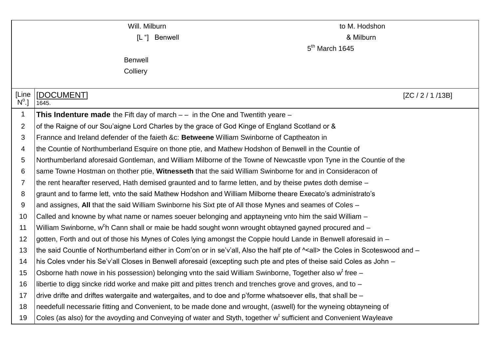| Will. Milburn           |                                                                                                                                    | to M. Hodshon      |  |  |  |  |  |
|-------------------------|------------------------------------------------------------------------------------------------------------------------------------|--------------------|--|--|--|--|--|
| [L "]<br><b>Benwell</b> |                                                                                                                                    | & Milburn          |  |  |  |  |  |
|                         | $5th$ March 1645                                                                                                                   |                    |  |  |  |  |  |
|                         | <b>Benwell</b>                                                                                                                     |                    |  |  |  |  |  |
|                         | Colliery                                                                                                                           |                    |  |  |  |  |  |
|                         |                                                                                                                                    |                    |  |  |  |  |  |
| [Line<br>$N^{\circ}.$   | [DOCUMENT]<br>1645.                                                                                                                | [ZC / 2 / 1 / 13B] |  |  |  |  |  |
| 1                       | <b>This Indenture made</b> the Fift day of march $-$ in the One and Twentith yeare $-$                                             |                    |  |  |  |  |  |
| $\overline{2}$          | of the Raigne of our Sou'aigne Lord Charles by the grace of God Kinge of England Scotland or &                                     |                    |  |  |  |  |  |
| 3                       | Frannce and Ireland defender of the faieth &c: Betweene William Swinborne of Captheaton in                                         |                    |  |  |  |  |  |
| 4                       | the Countie of Northumberland Esquire on thone ptie, and Mathew Hodshon of Benwell in the Countie of                               |                    |  |  |  |  |  |
| 5                       | Northumberland aforesaid Gontleman, and William Milborne of the Towne of Newcastle vpon Tyne in the Countie of the                 |                    |  |  |  |  |  |
| 6                       | same Towne Hostman on thother ptie, Witnesseth that the said William Swinborne for and in Consideracon of                          |                    |  |  |  |  |  |
| 7                       | the rent hearafter reserved, Hath demised graunted and to farme letten, and by theise pwtes doth demise -                          |                    |  |  |  |  |  |
| 8                       | graunt and to farme lett, vnto the said Mathew Hodshon and William Milborne theare Execato's administrato's                        |                    |  |  |  |  |  |
| 9                       | and assignes, All that the said William Swinborne his Sixt pte of All those Mynes and seames of Coles -                            |                    |  |  |  |  |  |
| 10                      | Called and knowne by what name or names soeuer belonging and apptayneing vnto him the said William –                               |                    |  |  |  |  |  |
| 11                      | William Swinborne, w <sup>c</sup> h Cann shall or maie be hadd sought wonn wrought obtayned gayned procured and -                  |                    |  |  |  |  |  |
| 12                      | gotten, Forth and out of those his Mynes of Coles lying amongst the Coppie hould Lande in Benwell aforesaid in -                   |                    |  |  |  |  |  |
| 13                      | the said Countie of Northumberland either in Com'on or in se'v'all, Also the half pte of $\sim$ all> the Coles in Scoteswood and - |                    |  |  |  |  |  |
| 14                      | his Coles vnder his Se'v'all Closes in Benwell aforesaid (excepting such pte and ptes of theise said Coles as John -               |                    |  |  |  |  |  |
| 15                      | Osborne hath nowe in his possession) belonging vnto the said William Swinborne, Together also w <sup>t</sup> free -                |                    |  |  |  |  |  |
| 16                      | libertie to digg sincke ridd worke and make pitt and pittes trench and trenches grove and groves, and to -                         |                    |  |  |  |  |  |
| 17                      | drive drifte and driftes watergaite and watergaites, and to doe and p'forme whatsoever ells, that shall be -                       |                    |  |  |  |  |  |
| 18                      | needefull necessarie fitting and Convenient, to be made done and wrought, (aswell) for the wyneing obtayneing of                   |                    |  |  |  |  |  |
| 19                      | Coles (as also) for the avoyding and Conveying of water and Styth, together w <sup>t</sup> sufficient and Convenient Wayleave      |                    |  |  |  |  |  |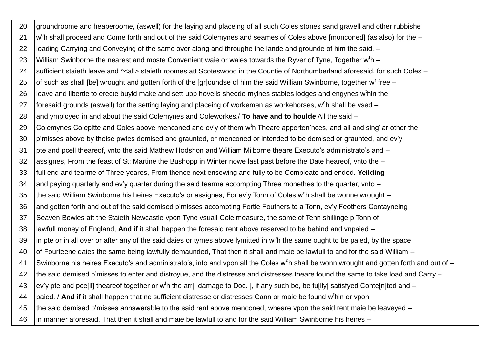20 groundroome and heaperoome, (aswell) for the laying and placeing of all such Coles stones sand gravell and other rubbishe  $21$  $c$ h shall proceed and Come forth and out of the said Colemynes and seames of Coles above [monconed] (as also) for the  $-$ 22 loading Carrying and Conveying of the same over along and throughe the lande and grounde of him the said,  $-$ 23 William Swinborne the nearest and moste Convenient waie or waies towards the Ryver of Tyne, Together w<sup>t</sup>h – 24 Sufficient staieth leave and  $\sim$ all> staieth roomes att Scoteswood in the Countie of Northumberland aforesaid, for such Coles – 25  $\,$  of such as shall [be] wrought and gotten forth of the [gr]oundse of him the said William Swinborne, together w<sup>r</sup> free – 26 Heave and libertie to erecte buyld make and sett upp hovells sheede mylnes stables lodges and engynes w<sup>t</sup>hin the 27 |foresaid grounds (aswell) for the setting laying and placeing of workemen as workehorses, w<sup>c</sup>h shall be vsed – 28 and ymployed in and about the said Colemynes and Coleworkes./ **To have and to houlde** All the said – 29  $\,$  Colemynes Colepitte and Coles above menconed and ev'y of them w<sup>t</sup>h Theare apperten'nces, and all and sing'lar other the 30 p'misses above by theise pwtes demised and graunted, or menconed or intended to be demised or graunted, and ev'y 31 pte and pcell theareof, vnto the said Mathew Hodshon and William Milborne theare Executo's administrato's and – 32 assignes, From the feast of St: Martine the Bushopp in Winter nowe last past before the Date heareof, vnto the – 33 full end and tearme of Three yeares, From thence next ensewing and fully to be Compleate and ended. **Yeilding** 34 and paying quarterly and ev'y quarter during the said tearme accompting Three monethes to the quarter, vnto  $-$ 35 Ithe said William Swinborne his heires Executo's or assignes, For ev'y Tonn of Coles w<sup>c</sup>h shall be wonne wrought – 36 and gotten forth and out of the said demised p'misses accompting Fortie Fouthers to a Tonn, ev'y Feothers Contayneing 37 Seaven Bowles att the Staieth Newcastle vpon Tyne vsuall Cole measure, the some of Tenn shillinge p Tonn of 38 lawfull money of England, **And if** it shall happen the foresaid rent above reserved to be behind and vnpaied – 39  $\,$  |in pte or in all over or after any of the said daies or tymes above lymitted in w<sup>c</sup>h the same ought to be paied, by the space 40 of Fourteene daies the same being lawfully demaunded, That then it shall and maie be lawfull to and for the said William – 41 Swinborne his heires Executo's and administrato's, into and vpon all the Coles w<sup>c</sup>h shall be wonn wrought and gotten forth and out of -42 the said demised p'misses to enter and distroyue, and the distresse and distresses theare found the same to take load and Carry – 43  $\,$  ev'y pte and pce[II] theareof together or w<sup>t</sup>h the arr[ damage to Doc. ], if any such be, be fu[IIy] satisfyed Conte[n]ted and – 44 paied. / **And if** it shall happen that no sufficient distresse or distresses Cann or maie be found w<sup>t</sup> hin or vpon 45 the said demised p'misses annswerable to the said rent above menconed, wheare vpon the said rent maie be leaveyed – 46 in manner aforesaid, That then it shall and maie be lawfull to and for the said William Swinborne his heires –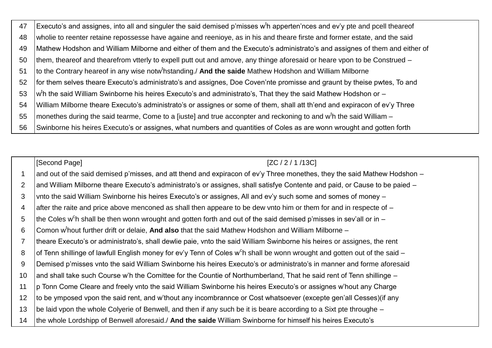47 Executo's and assignes, into all and singuler the said demised p'misses w<sup>t</sup>h apperten'nces and ev'y pte and pcell theareof wholie to reenter retaine repossesse have againe and reenioye, as in his and theare firste and former estate, and the said 48 Mathew Hodshon and William Milborne and either of them and the Executo's administrato's and assignes of them and either of 49 them, theareof and thearefrom vtterly to expell putt out and amove, any thinge aforesaid or heare vpon to be Construed –  $50$ to the Contrary heareof in any wise notw<sup>t</sup>hstanding./ And the saide Mathew Hodshon and William Milborne 51 for them selves theare Executo's administrato's and assignes, Doe Coven'nte promisse and graunt by theise pwtes. To and 52 w<sup>t</sup>h the said William Swinborne his heires Executo's and administrato's, That they the said Mathew Hodshon or -53 William Milborne theare Executo's administrato's or assignes or some of them, shall att th'end and expiracon of ev'y Three 54 55 monethes during the said tearme. Come to a [iuste] and true acconpter and reckoning to and w<sup>t</sup>h the said William – Swinborne his heires Executo's or assignes, what numbers and quantities of Coles as are wonn wrought and gotten forth 56

[Second Page] [ZC / 2 / 1 / 13C] and out of the said demised p'misses, and att thend and expiracon of ev'y Three monethes, they the said Mathew Hodshon –  $\mathbf{1}$ and William Milborne theare Executo's administrato's or assignes, shall satisfye Contente and paid, or Cause to be paied - $\mathcal{P}$ 3 vnto the said William Swinborne his heires Executo's or assignes. All and ev'y such some and somes of money after the raite and price above menconed as shall then appeare to be dew vnto him or them for and in respecte of - $\overline{4}$ 5 the Coles w<sup>c</sup>h shall be then wonn wrought and gotten forth and out of the said demised p'misses in sev'all or in -6 Comon w<sup>t</sup>hout further drift or delaie, And also that the said Mathew Hodshon and William Milborne theare Executo's or administrato's, shall dewlie paie, vnto the said William Swinborne his heires or assignes, the rent  $\overline{7}$ of Tenn shillinge of lawfull English money for ev'y Tenn of Coles w<sup>c</sup>h shall be wonn wrought and gotten out of the said -8 Demised p'misses vnto the said William Swinborne his heires Executo's or administrato's in manner and forme aforesaid  $\mathbf{Q}$ and shall take such Course w'h the Comittee for the Countie of Northumberland. That he said rent of Tenn shillinge –  $10$ p Tonn Come Cleare and freely vnto the said William Swinborne his heires Executo's or assignes w'hout any Charge  $11$ to be ymposed vpon the said rent, and w'thout any incombrannce or Cost whatsoever (excepte gen'all Cesses) (if any  $12$ be laid vpon the whole Colyerie of Benwell, and then if any such be it is beare according to a Sixt pte throughe –  $13$ the whole Lordshipp of Benwell aforesaid./ And the saide William Swinborne for himself his heires Executo's  $14$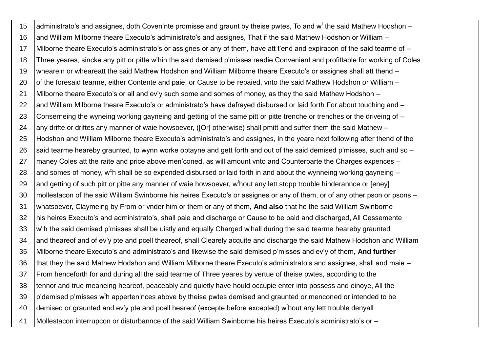15 | administrato's and assignes, doth Coven'nte promisse and graunt by theise pwtes, To and w<sup>t</sup> the said Mathew Hodshon -16 and William Milborne theare Executo's administrato's and assignes, That if the said Mathew Hodshon or William – 17 Milborne theare Executo's administrato's or assignes or any of them, have att t'end and expiracon of the said tearme of – 18 Three yeares, sincke any pitt or pitte w'hin the said demised p'misses readie Convenient and profittable for working of Coles 19 whearein or wheareatt the said Mathew Hodshon and William Milborne theare Executo's or assignes shall att thend – 20 of the foresaid tearme, either Contente and paie, or Cause to be repaied, vnto the said Mathew Hodshon or William – 21 Milborne theare Executo's or all and ev'y such some and somes of money, as they the said Mathew Hodshon – 22 and William Milborne theare Executo's or administrato's have defraved disbursed or laid forth For about touching and – 23 Conserneing the wyneing working gayneing and getting of the same pitt or pitte trenche or trenches or the driveing of – 24 any drifte or driftes any manner of waie howsoever, ([Or] otherwise) shall pmitt and suffer them the said Mathew – 25 Hodshon and William Milborne theare Executo's administrato's and assignes, in the yeare next following after thend of the 26 said tearme heareby graunted, to wynn worke obtayne and gett forth and out of the said demised p'misses, such and so  $-$ 27 | maney Coles att the raite and price above men'coned, as will amount vnto and Counterparte the Charges expences – 28  $\,$  and somes of money, w $^{\circ}$ h shall be so expended disbursed or laid forth in and about the wynneing working gayneing – 29 and getting of such pitt or pitte any manner of waie howsoever, w<sup>t</sup> hout any lett stopp trouble hinderannce or [eney] 30 Imollestacon of the said William Swinborne his heires Executo's or assignes or any of them, or of any other pson or psons – 31 whatsoever, Claymeing by From or vnder him or them or any of them, **And also** that he the said William Swinborne 32 his heires Executo's and administrato's, shall paie and discharge or Cause to be paid and discharged, All Cessemente 33 w  $c$ h the said demised p'misses shall be uistly and equally Charged w<sup>t</sup>hall during the said tearme heareby graunted 34 and theareof and of ev'y pte and pcell theareof, shall Clearely acquite and discharge the said Mathew Hodshon and William 35 Milborne theare Executo's and administrato's and likewise the said demised p'misses and ev'y of them, **And further**  36 that they the said Mathew Hodshon and William Milborne theare Executo's administrato's and assignes, shall and maie – 37 From henceforth for and during all the said tearme of Three yeares by vertue of theise pwtes, according to the 38 tennor and true meaneing heareof, peaceably and quietly have hould occupie enter into possess and einoye, All the 39  $\vert$ p'demised p'misses w<sup>t</sup>h apperten'nces above by theise pwtes demised and graunted or menconed or intended to be 40 | demised or graunted and ev'y pte and pcell heareof (excepte before excepted) w<sup>t</sup>hout any lett trouble denyall 41 Mollestacon interrupcon or disturbannce of the said William Swinborne his heires Executo's administrato's or –